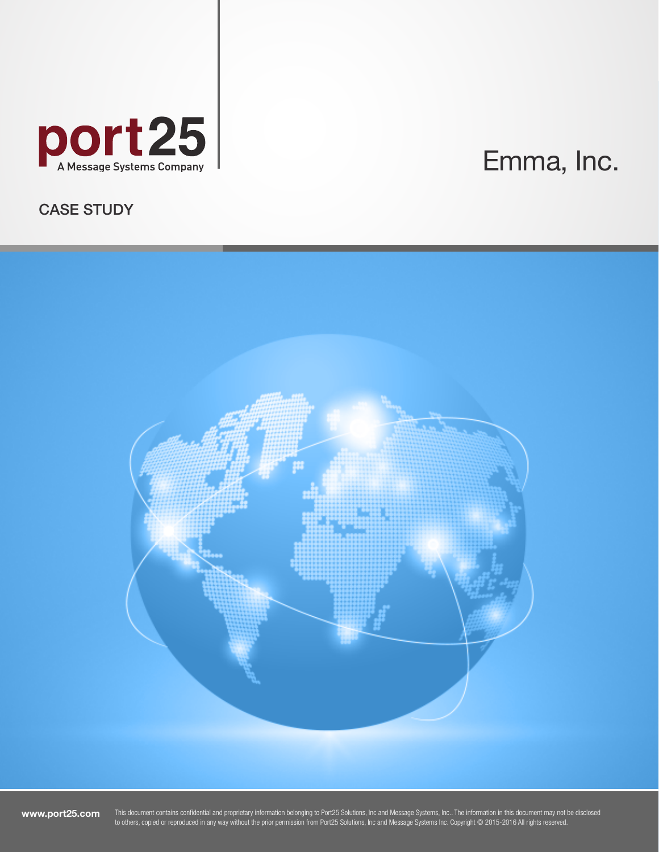

# Emma, Inc.

# CASE STUDY



www.port25.com

This document contains confidential and proprietary information belonging to Port25 Solutions, Inc and Message Systems, Inc.. The information in this document may not be disclosed to others, copied or reproduced in any way without the prior permission from Port25 Solutions, Inc and Message Systems Inc. Copyright © 2015-2016 All rights reserved.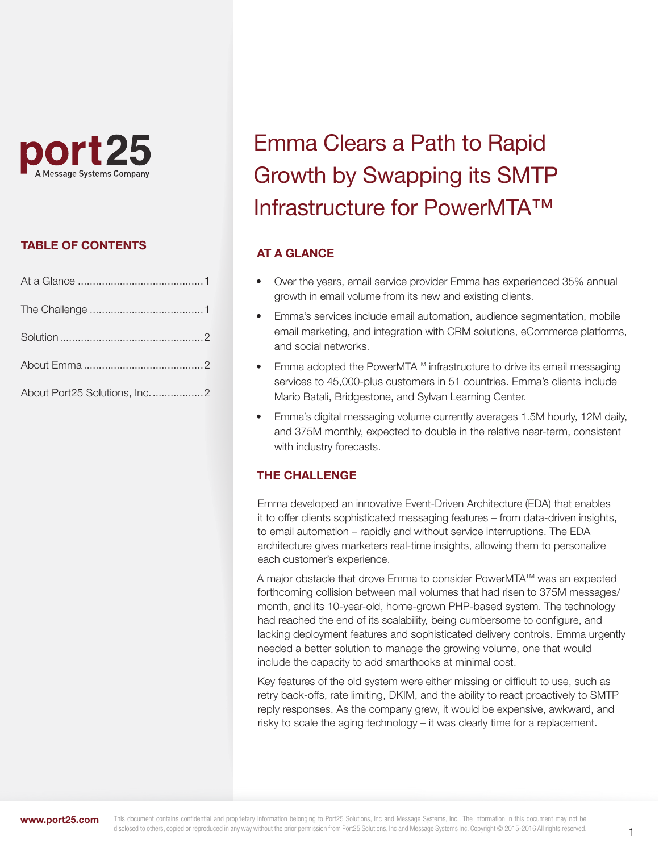

# TABLE OF CONTENTS

| About Port25 Solutions, Inc2 |  |
|------------------------------|--|

# Emma Clears a Path to Rapid Growth by Swapping its SMTP Infrastructure for PowerMTA™

# AT A GLANCE

- Over the years, email service provider Emma has experienced 35% annual growth in email volume from its new and existing clients.
- Emma's services include email automation, audience segmentation, mobile email marketing, and integration with CRM solutions, eCommerce platforms, and social networks.
- Emma adopted the PowerMTA<sup>TM</sup> infrastructure to drive its email messaging services to 45,000-plus customers in 51 countries. Emma's clients include Mario Batali, Bridgestone, and Sylvan Learning Center.
- Emma's digital messaging volume currently averages 1.5M hourly, 12M daily, and 375M monthly, expected to double in the relative near-term, consistent with industry forecasts.

# THE CHALLENGE

Emma developed an innovative Event-Driven Architecture (EDA) that enables it to offer clients sophisticated messaging features – from data-driven insights, to email automation – rapidly and without service interruptions. The EDA architecture gives marketers real-time insights, allowing them to personalize each customer's experience.

A major obstacle that drove Emma to consider PowerMTA™ was an expected forthcoming collision between mail volumes that had risen to 375M messages/ month, and its 10-year-old, home-grown PHP-based system. The technology had reached the end of its scalability, being cumbersome to configure, and lacking deployment features and sophisticated delivery controls. Emma urgently needed a better solution to manage the growing volume, one that would include the capacity to add smarthooks at minimal cost.

Key features of the old system were either missing or difficult to use, such as retry back-offs, rate limiting, DKIM, and the ability to react proactively to SMTP reply responses. As the company grew, it would be expensive, awkward, and risky to scale the aging technology – it was clearly time for a replacement.